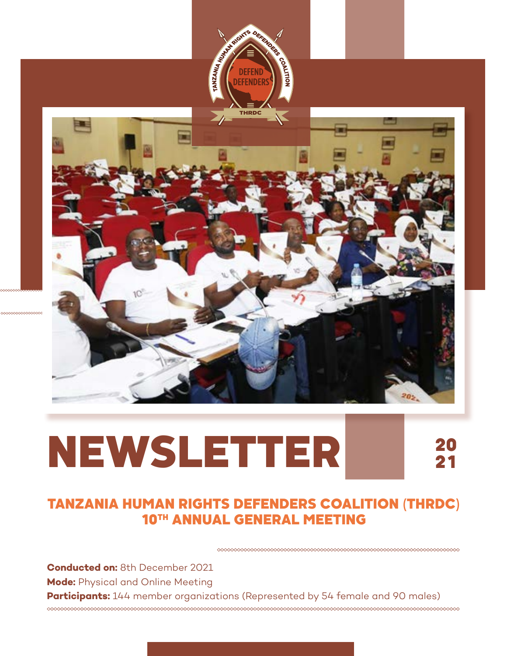



# NEWSLETTER

20 21

## TANZANIA HUMAN RIGHTS DEFENDERS COALITION (THRDC) 10TH ANNUAL GENERAL MEETING

**Conducted on:** 8th December 2021 **Mode:** Physical and Online Meeting **Participants:** 144 member organizations (Represented by 54 female and 90 males) **oooooooooooo**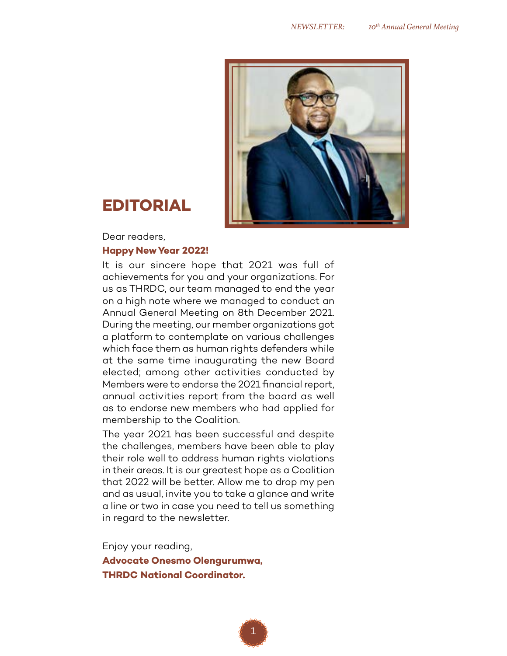

# **EDITORIAL**

Dear readers,

#### **Happy New Year 2022!**

It is our sincere hope that 2021 was full of achievements for you and your organizations. For us as THRDC, our team managed to end the year on a high note where we managed to conduct an Annual General Meeting on 8th December 2021. During the meeting, our member organizations got a platform to contemplate on various challenges which face them as human rights defenders while at the same time inaugurating the new Board elected; among other activities conducted by Members were to endorse the 2021 financial report, annual activities report from the board as well as to endorse new members who had applied for membership to the Coalition.

The year 2021 has been successful and despite the challenges, members have been able to play their role well to address human rights violations in their areas. It is our greatest hope as a Coalition that 2022 will be better. Allow me to drop my pen and as usual, invite you to take a glance and write a line or two in case you need to tell us something in regard to the newsletter.

Enjoy your reading, **Advocate Onesmo Olengurumwa, THRDC National Coordinator.**

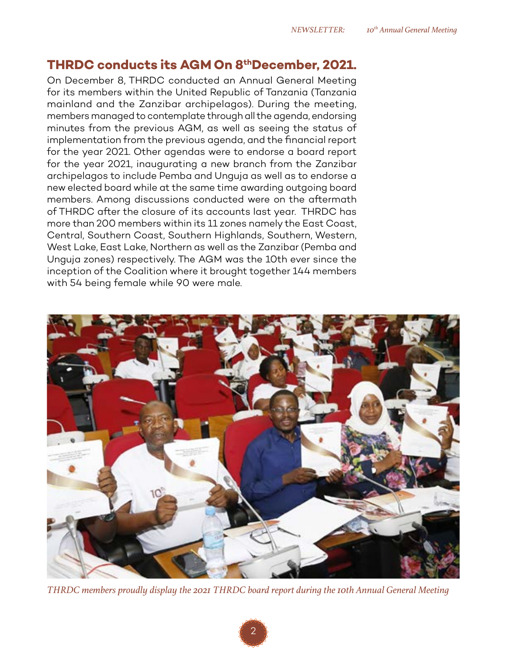#### **THRDC conducts its AGM On 8thDecember, 2021.**

On December 8, THRDC conducted an Annual General Meeting for its members within the United Republic of Tanzania (Tanzania mainland and the Zanzibar archipelagos). During the meeting, members managed to contemplate through all the agenda, endorsing minutes from the previous AGM, as well as seeing the status of implementation from the previous agenda, and the financial report for the year 2021. Other agendas were to endorse a board report for the year 2021, inaugurating a new branch from the Zanzibar archipelagos to include Pemba and Unguja as well as to endorse a new elected board while at the same time awarding outgoing board members. Among discussions conducted were on the aftermath of THRDC after the closure of its accounts last year. THRDC has more than 200 members within its 11 zones namely the East Coast, Central, Southern Coast, Southern Highlands, Southern, Western, West Lake, East Lake, Northern as well as the Zanzibar (Pemba and Unguja zones) respectively. The AGM was the 10th ever since the inception of the Coalition where it brought together 144 members with 54 being female while 90 were male.



*THRDC members proudly display the 2021 THRDC board report during the 10th Annual General Meeting*

2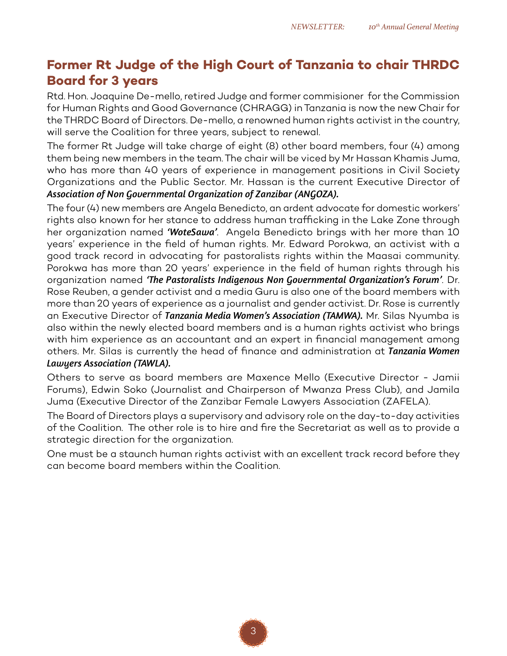### **Former Rt Judge of the High Court of Tanzania to chair THRDC Board for 3 years**

Rtd. Hon. Joaquine De-mello, retired Judge and former commisioner for the Commission for Human Rights and Good Governance (CHRAGG) in Tanzania is now the new Chair for the THRDC Board of Directors. De-mello, a renowned human rights activist in the country, will serve the Coalition for three years, subject to renewal.

The former Rt Judge will take charge of eight (8) other board members, four (4) among them being new members in the team. The chair will be viced by Mr Hassan Khamis Juma, who has more than 40 years of experience in management positions in Civil Society Organizations and the Public Sector. Mr. Hassan is the current Executive Director of *Association of Non Governmental Organization of Zanzibar (ANGOZA).*

The four (4) new members are Angela Benedicto, an ardent advocate for domestic workers' rights also known for her stance to address human trafficking in the Lake Zone through her organization named *'WoteSawa'*. Angela Benedicto brings with her more than 10 years' experience in the field of human rights. Mr. Edward Porokwa, an activist with a good track record in advocating for pastoralists rights within the Maasai community. Porokwa has more than 20 years' experience in the field of human rights through his organization named *'The Pastoralists Indigenous Non Governmental Organization's Forum'*. Dr. Rose Reuben, a gender activist and a media Guru is also one of the board members with more than 20 years of experience as a journalist and gender activist. Dr. Rose is currently an Executive Director of *Tanzania Media Women's Association (TAMWA).* Mr. Silas Nyumba is also within the newly elected board members and is a human rights activist who brings with him experience as an accountant and an expert in financial management among others. Mr. Silas is currently the head of finance and administration at *Tanzania Women Lawyers Association (TAWLA).* 

Others to serve as board members are Maxence Mello (Executive Director - Jamii Forums), Edwin Soko (Journalist and Chairperson of Mwanza Press Club), and Jamila Juma (Executive Director of the Zanzibar Female Lawyers Association (ZAFELA).

The Board of Directors plays a supervisory and advisory role on the day-to-day activities of the Coalition. The other role is to hire and fire the Secretariat as well as to provide a strategic direction for the organization.

One must be a staunch human rights activist with an excellent track record before they can become board members within the Coalition.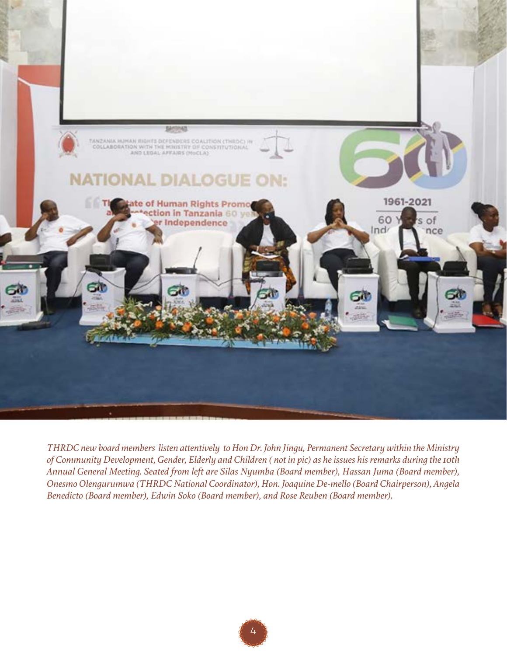

*THRDC new board members listen attentively to Hon Dr. John Jingu, Permanent Secretary within the Ministry of Community Development, Gender, Elderly and Children ( not in pic) as he issues his remarks during the 10th Annual General Meeting. Seated from left are Silas Nyumba (Board member), Hassan Juma (Board member), Onesmo Olengurumwa (THRDC National Coordinator), Hon. Joaquine De-mello (Board Chairperson), Angela Benedicto (Board member), Edwin Soko (Board member), and Rose Reuben (Board member).*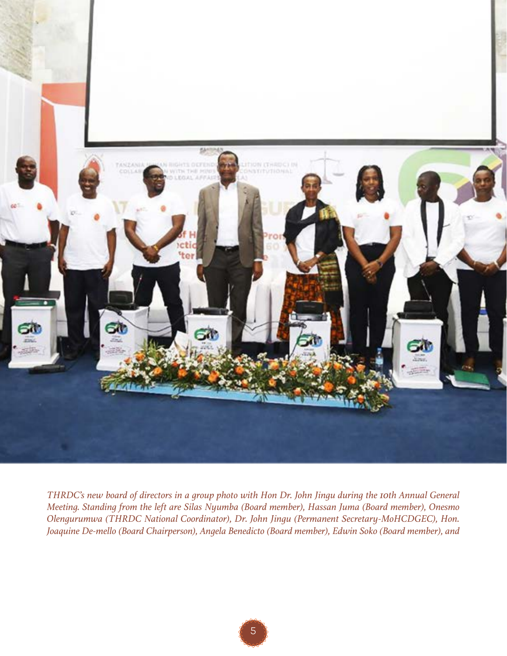

*THRDC's new board of directors in a group photo with Hon Dr. John Jingu during the 10th Annual General Meeting. Standing from the left are Silas Nyumba (Board member), Hassan Juma (Board member), Onesmo Olengurumwa (THRDC National Coordinator), Dr. John Jingu (Permanent Secretary-MoHCDGEC), Hon. Joaquine De-mello (Board Chairperson), Angela Benedicto (Board member), Edwin Soko (Board member), and*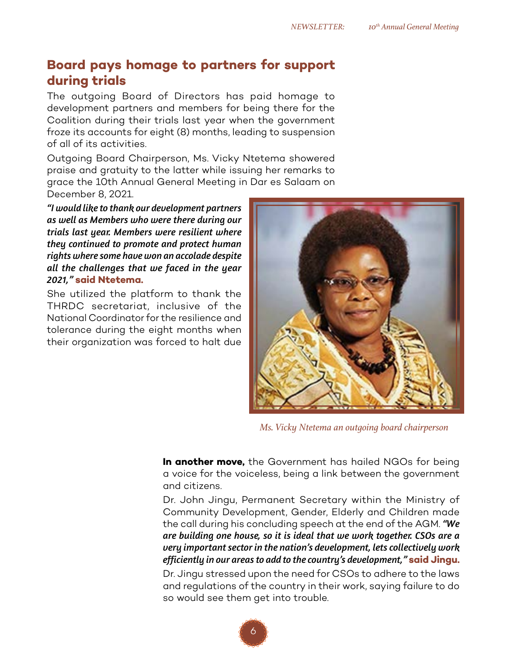#### **Board pays homage to partners for support during trials**

The outgoing Board of Directors has paid homage to development partners and members for being there for the Coalition during their trials last year when the government froze its accounts for eight (8) months, leading to suspension of all of its activities.

Outgoing Board Chairperson, Ms. Vicky Ntetema showered praise and gratuity to the latter while issuing her remarks to grace the 10th Annual General Meeting in Dar es Salaam on December 8, 2021.

*"I would like to thank our development partners as well as Members who were there during our trials last year. Members were resilient where they continued to promote and protect human rights where some have won an accolade despite all the challenges that we faced in the year 2021,"* **said Ntetema.**

She utilized the platform to thank the THRDC secretariat, inclusive of the National Coordinator for the resilience and tolerance during the eight months when their organization was forced to halt due



*Ms. Vicky Ntetema an outgoing board chairperson*

**In another move,** the Government has hailed NGOs for being a voice for the voiceless, being a link between the government and citizens.

Dr. John Jingu, Permanent Secretary within the Ministry of Community Development, Gender, Elderly and Children made the call during his concluding speech at the end of the AGM. *"We are building one house, so it is ideal that we work together. CSOs are a very important sector in the nation's development, lets collectively work efficiently in our areas to add to the country's development,"* **said Jingu.**

Dr. Jingu stressed upon the need for CSOs to adhere to the laws and regulations of the country in their work, saying failure to do so would see them get into trouble.

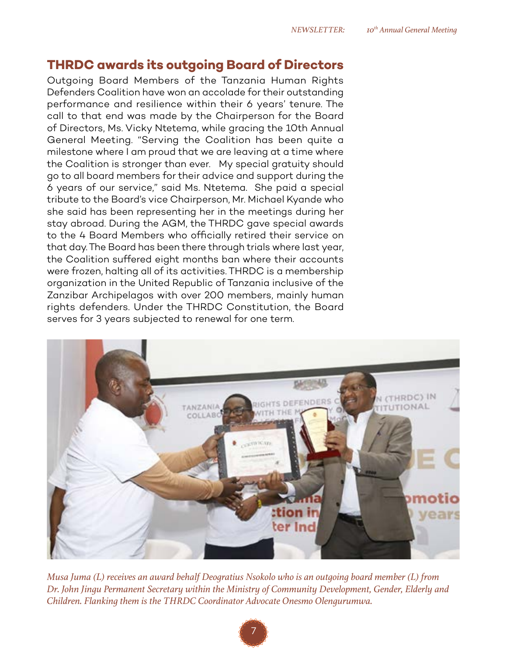#### **THRDC awards its outgoing Board of Directors**

Outgoing Board Members of the Tanzania Human Rights Defenders Coalition have won an accolade for their outstanding performance and resilience within their 6 years' tenure. The call to that end was made by the Chairperson for the Board of Directors, Ms. Vicky Ntetema, while gracing the 10th Annual General Meeting. "Serving the Coalition has been quite a milestone where I am proud that we are leaving at a time where the Coalition is stronger than ever. My special gratuity should go to all board members for their advice and support during the 6 years of our service," said Ms. Ntetema. She paid a special tribute to the Board's vice Chairperson, Mr. Michael Kyande who she said has been representing her in the meetings during her stay abroad. During the AGM, the THRDC gave special awards to the 4 Board Members who officially retired their service on that day. The Board has been there through trials where last year, the Coalition suffered eight months ban where their accounts were frozen, halting all of its activities. THRDC is a membership organization in the United Republic of Tanzania inclusive of the Zanzibar Archipelagos with over 200 members, mainly human rights defenders. Under the THRDC Constitution, the Board serves for 3 years subjected to renewal for one term.



*Musa Juma (L) receives an award behalf Deogratius Nsokolo who is an outgoing board member (L) from Dr. John Jingu Permanent Secretary within the Ministry of Community Development, Gender, Elderly and Children. Flanking them is the THRDC Coordinator Advocate Onesmo Olengurumwa.*

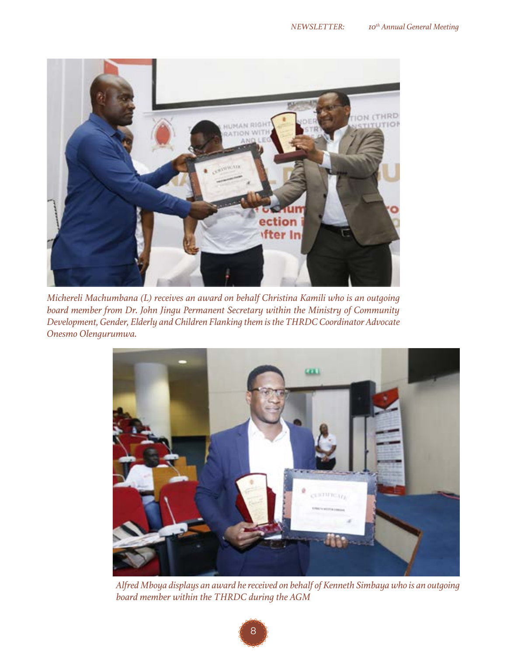

*Michereli Machumbana (L) receives an award on behalf Christina Kamili who is an outgoing board member from Dr. John Jingu Permanent Secretary within the Ministry of Community Development, Gender, Elderly and Children Flanking them is the THRDC Coordinator Advocate Onesmo Olengurumwa.*



*Alfred Mboya displays an award he received on behalf of Kenneth Simbaya who is an outgoing board member within the THRDC during the AGM*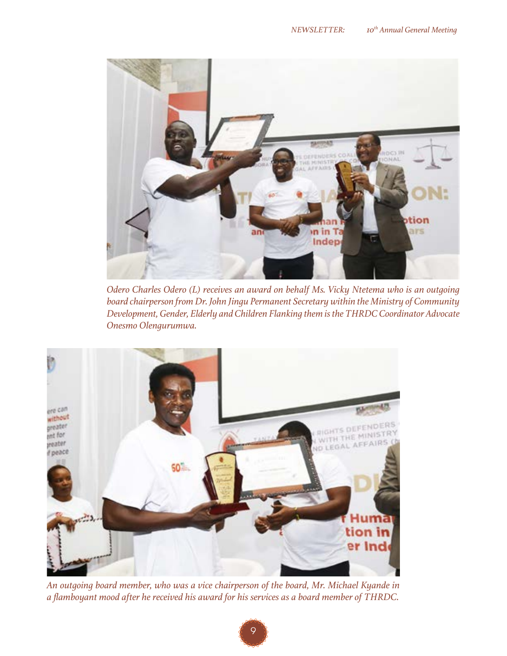

*Odero Charles Odero (L) receives an award on behalf Ms. Vicky Ntetema who is an outgoing board chairperson from Dr. John Jingu Permanent Secretary within the Ministry of Community Development, Gender, Elderly and Children Flanking them is the THRDC Coordinator Advocate Onesmo Olengurumwa.*



*An outgoing board member, who was a vice chairperson of the board, Mr. Michael Kyande in a flamboyant mood after he received his award for his services as a board member of THRDC.*

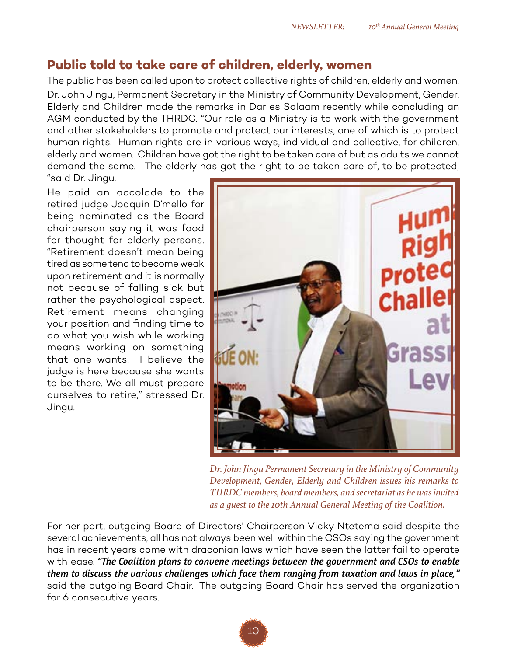#### **Public told to take care of children, elderly, women**

The public has been called upon to protect collective rights of children, elderly and women. Dr. John Jingu, Permanent Secretary in the Ministry of Community Development, Gender, Elderly and Children made the remarks in Dar es Salaam recently while concluding an AGM conducted by the THRDC. "Our role as a Ministry is to work with the government and other stakeholders to promote and protect our interests, one of which is to protect human rights. Human rights are in various ways, individual and collective, for children, elderly and women. Children have got the right to be taken care of but as adults we cannot demand the same. The elderly has got the right to be taken care of, to be protected, "said Dr. Jingu.

He paid an accolade to the retired judge Joaquin D'mello for being nominated as the Board chairperson saying it was food for thought for elderly persons. "Retirement doesn't mean being tired as some tend to become weak upon retirement and it is normally not because of falling sick but rather the psychological aspect. Retirement means changing your position and finding time to do what you wish while working means working on something that one wants. I believe the judge is here because she wants to be there. We all must prepare ourselves to retire," stressed Dr. Jingu.



*Dr. John Jingu Permanent Secretary in the Ministry of Community Development, Gender, Elderly and Children issues his remarks to THRDC members, board members, and secretariat as he was invited as a guest to the 10th Annual General Meeting of the Coalition.*

For her part, outgoing Board of Directors' Chairperson Vicky Ntetema said despite the several achievements, all has not always been well within the CSOs saying the government has in recent years come with draconian laws which have seen the latter fail to operate with ease. *"The Coalition plans to convene meetings between the government and CSOs to enable them to discuss the various challenges which face them ranging from taxation and laws in place,"*  said the outgoing Board Chair. The outgoing Board Chair has served the organization for 6 consecutive years.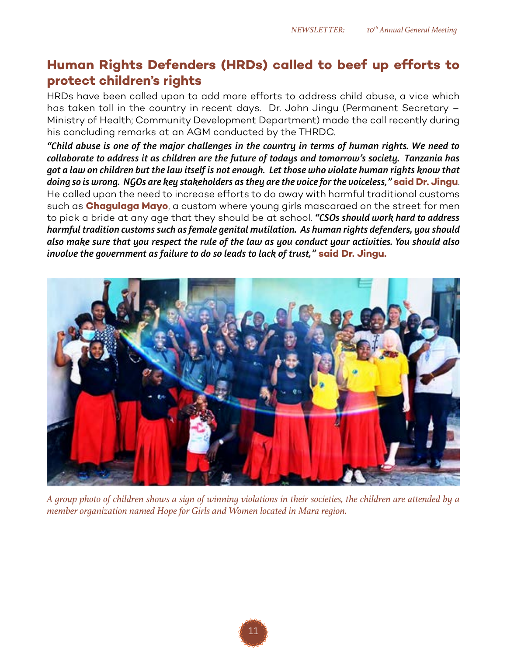#### **Human Rights Defenders (HRDs) called to beef up efforts to protect children's rights**

HRDs have been called upon to add more efforts to address child abuse, a vice which has taken toll in the country in recent days. Dr. John Jingu (Permanent Secretary – Ministry of Health; Community Development Department) made the call recently during his concluding remarks at an AGM conducted by the THRDC.

*"Child abuse is one of the major challenges in the country in terms of human rights. We need to collaborate to address it as children are the future of todays and tomorrow's society. Tanzania has got a law on children but the law itself is not enough. Let those who violate human rights know that doing so is wrong. NGOs are key stakeholders as they are the voice for the voiceless,"* **said Dr. Jingu**. He called upon the need to increase efforts to do away with harmful traditional customs such as **Chagulaga Mayo**, a custom where young girls mascaraed on the street for men to pick a bride at any age that they should be at school. *"CSOs should work hard to address harmful tradition customs such as female genital mutilation. As human rights defenders, you should also make sure that you respect the rule of the law as you conduct your activities. You should also involve the government as failure to do so leads to lack of trust,"* **said Dr. Jingu.**



*A group photo of children shows a sign of winning violations in their societies, the children are attended by a member organization named Hope for Girls and Women located in Mara region.*